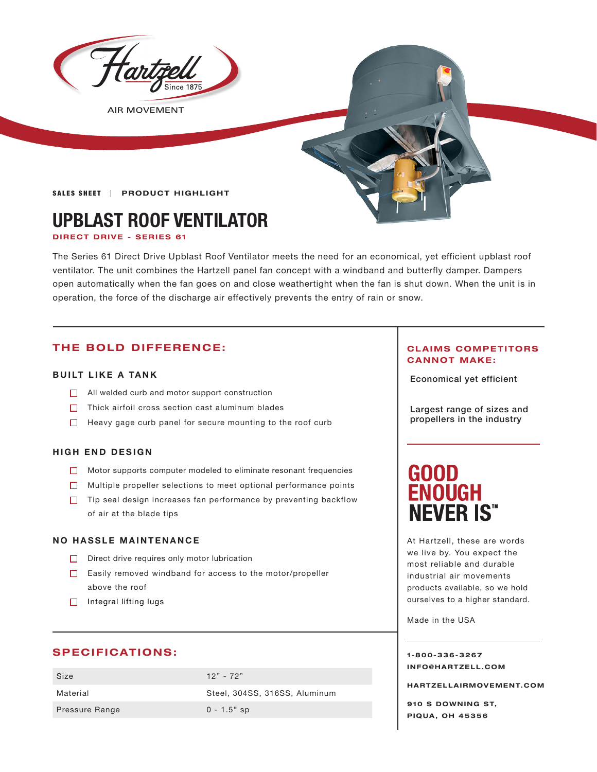

**AIR MOVEMENT** 

**SALES SHEET | PRODUCT HIGHLIGHT** 

# **UPBLAST ROOF VENTILATOR**

**DIRECT DRIVE - SERIES 61**

The Series 61 Direct Drive Upblast Roof Ventilator meets the need for an economical, yet efficient upblast roof ventilator. The unit combines the Hartzell panel fan concept with a windband and butterfly damper. Dampers open automatically when the fan goes on and close weathertight when the fan is shut down. When the unit is in operation, the force of the discharge air effectively prevents the entry of rain or snow.

# **THE BOLD DIFFERENCE:**

### **BUILT LIKE A TANK**

- $\Box$  All welded curb and motor support construction
- $\Box$  Thick airfoil cross section cast aluminum blades
- $\Box$  Heavy gage curb panel for secure mounting to the roof curb

#### **HIGH END DESIGN**

- Motor supports computer modeled to eliminate resonant frequencies
- Multiple propeller selections to meet optional performance points
- $\Box$  Tip seal design increases fan performance by preventing backflow of air at the blade tips

#### **NO HASSLE MAINTENANCE**

- Direct drive requires only motor lubrication
- Easily removed windband for access to the motor/propeller above the roof
- $\Box$  Integral lifting lugs

# **SPECIFICATIONS:**

| Size                  | $12" - 72"$                   |
|-----------------------|-------------------------------|
| Material              | Steel, 304SS, 316SS, Aluminum |
| <b>Pressure Range</b> | $0 - 1.5"$ sp                 |

#### **CLAIMS COMPETITORS CANNOT MAKE:**

Economical yet efficient

Largest range of sizes and propellers in the industry

# **GOOD ENOUGH NEVER IS"**

At Hartzell, these are words we live by. You expect the most reliable and durable industrial air movements products available, so we hold ourselves to a higher standard.

Made in the USA

**1-800-336-3267 I N F O @ H A R T Z E L L . C OM** 

**HARTZELLA IRMOVEMENT.COM**

**910 S DOWNING ST, PIQUA, OH 45356**